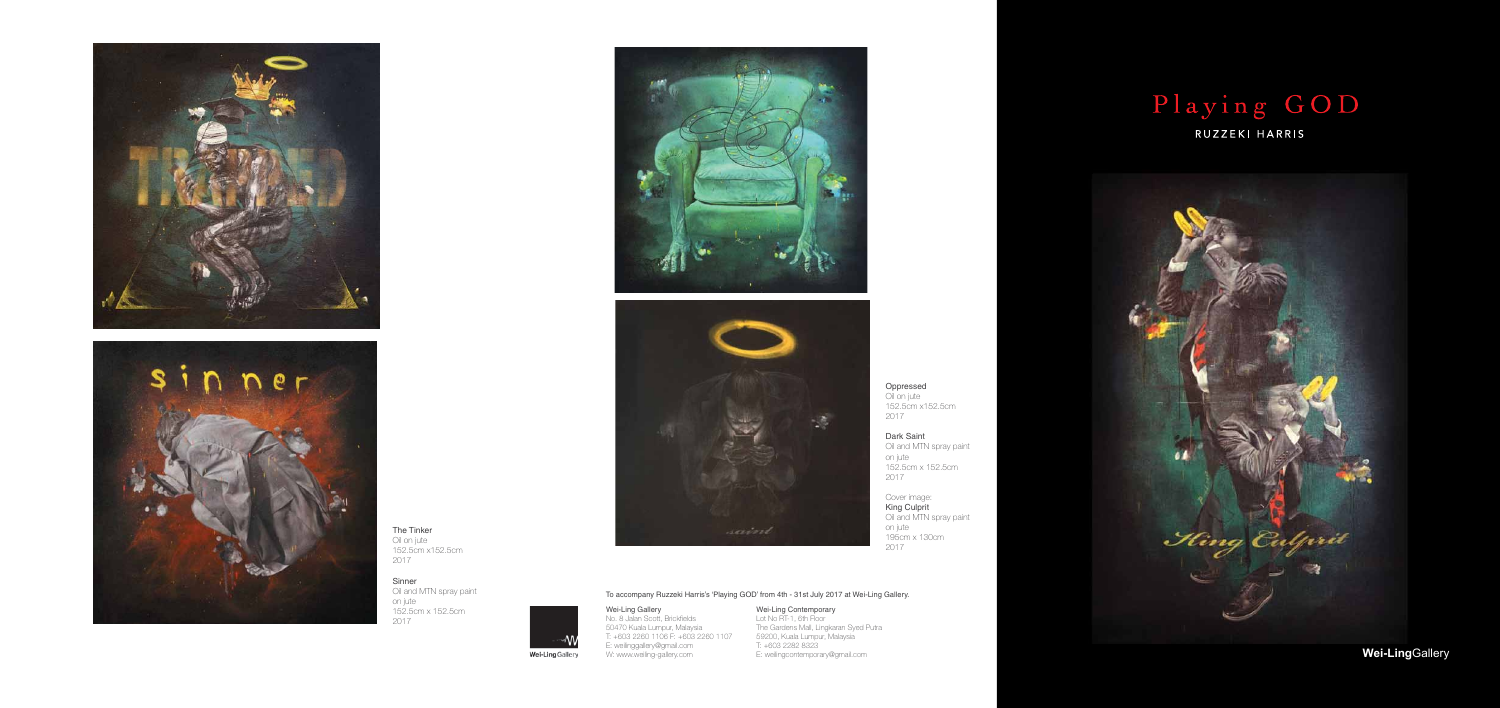Oppressed Oil on jute

152.5cm x152.5cm

Oil and MTN spray paint

2017

Dark Saint

on jute

152.5cm x 152.5cm

2017

Cover image: King Culprit

Oil and MTN spray paint

on jute

195cm x 130cm

2017





The Tinker Oil on jute 152.5cm x152.5cm 2017

Sinner Oil and MTN spray paint on jute 152.5cm x 152.5cm 2017







#### Wei-Ling Gallery

No. 8 Jalan Scott, Brickfields 50470 Kuala Lumpur, Malaysia T: +603 2260 1106 F: +603 2260 1107 E: weilinggallery@gmail.com W: www.weiling-gallery.com

Wei-Ling Gallery

## Wei-Ling Contemporary

Lot No RT-1, 6th Floor The Gardens Mall, Lingkaran Syed Putra 59200, Kuala Lumpur, Malaysia T: +603 2282 8323 E: weilingcontemporary@gmail.com

# Playing GOD

RUZZEKI HARRIS



# To accompany Ruzzeki Harris's 'Playing GOD' from 4th - 31st July 2017 at Wei-Ling Gallery.

**Wei-Ling**Gallery